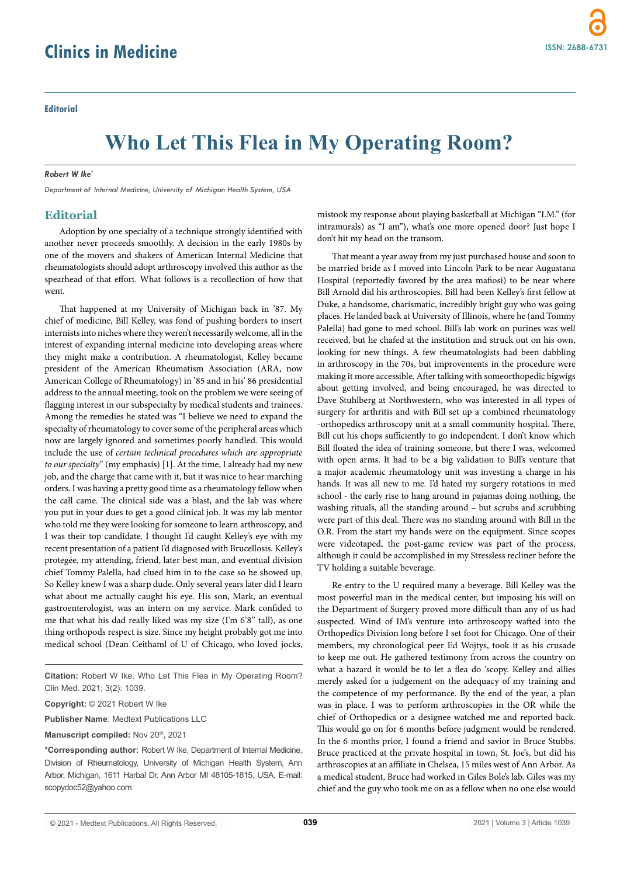## **Who Let This Flea in My Operating Room?**

## *Robert W Ike\**

*Department of Internal Medicine, University of Michigan Health System, USA*

## **Editorial**

Adoption by one specialty of a technique strongly identified with another never proceeds smoothly. A decision in the early 1980s by one of the movers and shakers of American Internal Medicine that rheumatologists should adopt arthroscopy involved this author as the spearhead of that effort. What follows is a recollection of how that went.

That happened at my University of Michigan back in '87. My chief of medicine, Bill Kelley, was fond of pushing borders to insert internists into niches where they weren't necessarily welcome, all in the interest of expanding internal medicine into developing areas where they might make a contribution. A rheumatologist, Kelley became president of the American Rheumatism Association (ARA, now American College of Rheumatology) in '85 and in his' 86 presidential address to the annual meeting, took on the problem we were seeing of flagging interest in our subspecialty by medical students and trainees. Among the remedies he stated was "I believe we need to expand the specialty of rheumatology to cover some of the peripheral areas which now are largely ignored and sometimes poorly handled. This would include the use of *certain technical procedures which are appropriate to our specialty*" (my emphasis) [1]. At the time, I already had my new job, and the charge that came with it, but it was nice to hear marching orders. I was having a pretty good time as a rheumatology fellow when the call came. The clinical side was a blast, and the lab was where you put in your dues to get a good clinical job. It was my lab mentor who told me they were looking for someone to learn arthroscopy, and I was their top candidate. I thought I'd caught Kelley's eye with my recent presentation of a patient I'd diagnosed with Brucellosis. Kelley's protegée, my attending, friend, later best man, and eventual division chief Tommy Palella, had clued him in to the case so he showed up. So Kelley knew I was a sharp dude. Only several years later did I learn what about me actually caught his eye. His son, Mark, an eventual gastroenterologist, was an intern on my service. Mark confided to me that what his dad really liked was my size (I'm 6'8" tall), as one thing orthopods respect is size. Since my height probably got me into medical school (Dean Ceithaml of U of Chicago, who loved jocks,

**Citation:** Robert W Ike. Who Let This Flea in My Operating Room? Clin Med. 2021; 3(2): 1039.

**Copyright:** © 2021 Robert W Ike

**Publisher Name**: Medtext Publications LLC

Manuscript compiled: Nov 20<sup>th</sup>, 2021

**\*Corresponding author:** Robert W Ike, Department of Internal Medicine, Division of Rheumatology, University of Michigan Health System, Ann Arbor, Michigan, 1611 Harbal Dr, Ann Arbor MI 48105-1815, USA, E-mail: scopydoc52@yahoo.com

mistook my response about playing basketball at Michigan "I.M." (for intramurals) as "I am"), what's one more opened door? Just hope I don't hit my head on the transom.

That meant a year away from my just purchased house and soon to be married bride as I moved into Lincoln Park to be near Augustana Hospital (reportedly favored by the area mafiosi) to be near where Bill Arnold did his arthroscopies. Bill had been Kelley's first fellow at Duke, a handsome, charismatic, incredibly bright guy who was going places. He landed back at University of Illinois, where he (and Tommy Palella) had gone to med school. Bill's lab work on purines was well received, but he chafed at the institution and struck out on his own, looking for new things. A few rheumatologists had been dabbling in arthroscopy in the 70s, but improvements in the procedure were making it more accessible. After talking with someorthopedic bigwigs about getting involved, and being encouraged, he was directed to Dave Stuhlberg at Northwestern, who was interested in all types of surgery for arthritis and with Bill set up a combined rheumatology -orthopedics arthroscopy unit at a small community hospital. There, Bill cut his chops sufficiently to go independent. I don't know which Bill floated the idea of training someone, but there I was, welcomed with open arms. It had to be a big validation to Bill's venture that a major academic rheumatology unit was investing a charge in his hands. It was all new to me. I'd hated my surgery rotations in med school - the early rise to hang around in pajamas doing nothing, the washing rituals, all the standing around – but scrubs and scrubbing were part of this deal. There was no standing around with Bill in the O.R. From the start my hands were on the equipment. Since scopes were videotaped, the post-game review was part of the process, although it could be accomplished in my Stressless recliner before the TV holding a suitable beverage.

Re-entry to the U required many a beverage. Bill Kelley was the most powerful man in the medical center, but imposing his will on the Department of Surgery proved more difficult than any of us had suspected. Wind of IM's venture into arthroscopy wafted into the Orthopedics Division long before I set foot for Chicago. One of their members, my chronological peer Ed Wojtys, took it as his crusade to keep me out. He gathered testimony from across the country on what a hazard it would be to let a flea do 'scopy. Kelley and allies merely asked for a judgement on the adequacy of my training and the competence of my performance. By the end of the year, a plan was in place. I was to perform arthroscopies in the OR while the chief of Orthopedics or a designee watched me and reported back. This would go on for 6 months before judgment would be rendered. In the 6 months prior, I found a friend and savior in Bruce Stubbs. Bruce practiced at the private hospital in town, St. Joe's, but did his arthroscopies at an affiliate in Chelsea, 15 miles west of Ann Arbor. As a medical student, Bruce had worked in Giles Bole's lab. Giles was my chief and the guy who took me on as a fellow when no one else would